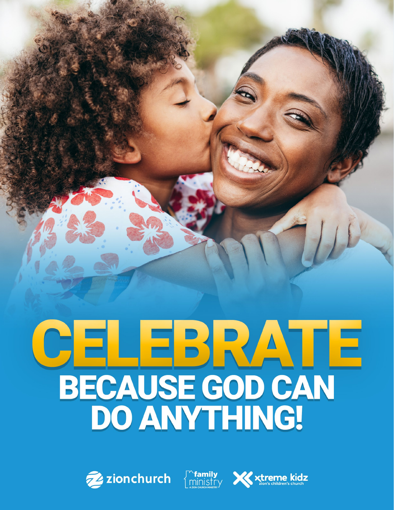# CELEBRATE<br>BECAUSE GOD CAN<br>DO ANYTHING!